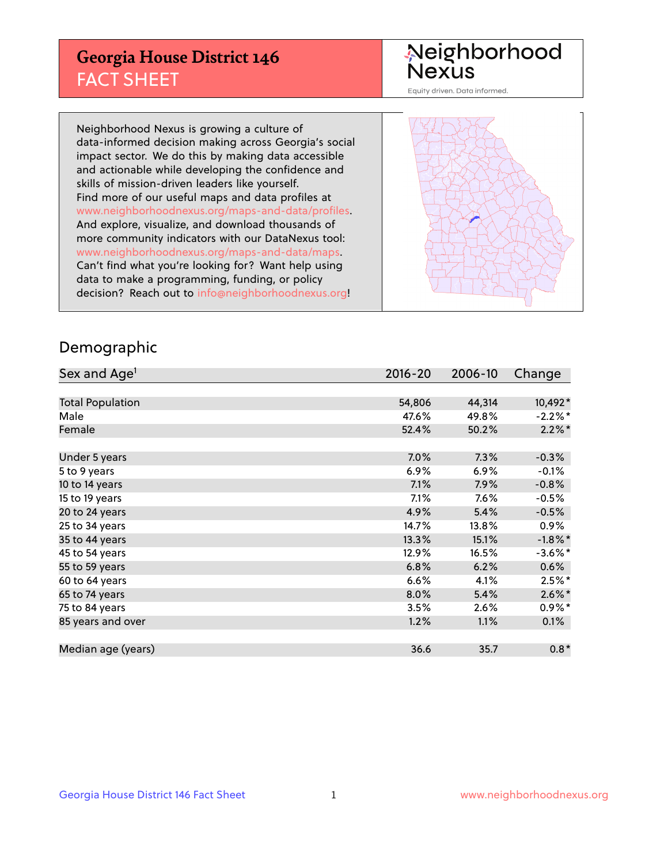## **Georgia House District 146** FACT SHEET

# Neighborhood<br>Nexus

Equity driven. Data informed.

Neighborhood Nexus is growing a culture of data-informed decision making across Georgia's social impact sector. We do this by making data accessible and actionable while developing the confidence and skills of mission-driven leaders like yourself. Find more of our useful maps and data profiles at www.neighborhoodnexus.org/maps-and-data/profiles. And explore, visualize, and download thousands of more community indicators with our DataNexus tool: www.neighborhoodnexus.org/maps-and-data/maps. Can't find what you're looking for? Want help using data to make a programming, funding, or policy decision? Reach out to [info@neighborhoodnexus.org!](mailto:info@neighborhoodnexus.org)



### Demographic

| Sex and Age <sup>1</sup> | $2016 - 20$ | 2006-10 | Change     |
|--------------------------|-------------|---------|------------|
|                          |             |         |            |
| <b>Total Population</b>  | 54,806      | 44,314  | 10,492*    |
| Male                     | 47.6%       | 49.8%   | $-2.2%$ *  |
| Female                   | 52.4%       | 50.2%   | $2.2\%$ *  |
|                          |             |         |            |
| Under 5 years            | 7.0%        | 7.3%    | $-0.3%$    |
| 5 to 9 years             | $6.9\%$     | $6.9\%$ | $-0.1%$    |
| 10 to 14 years           | 7.1%        | 7.9%    | $-0.8%$    |
| 15 to 19 years           | 7.1%        | $7.6\%$ | $-0.5%$    |
| 20 to 24 years           | 4.9%        | 5.4%    | $-0.5%$    |
| 25 to 34 years           | 14.7%       | 13.8%   | $0.9\%$    |
| 35 to 44 years           | 13.3%       | 15.1%   | $-1.8\%$ * |
| 45 to 54 years           | 12.9%       | 16.5%   | $-3.6\%$ * |
| 55 to 59 years           | 6.8%        | 6.2%    | 0.6%       |
| 60 to 64 years           | 6.6%        | 4.1%    | $2.5\%$ *  |
| 65 to 74 years           | 8.0%        | 5.4%    | $2.6\%$ *  |
| 75 to 84 years           | 3.5%        | 2.6%    | $0.9\%$ *  |
| 85 years and over        | 1.2%        | 1.1%    | 0.1%       |
|                          |             |         |            |
| Median age (years)       | 36.6        | 35.7    | $0.8*$     |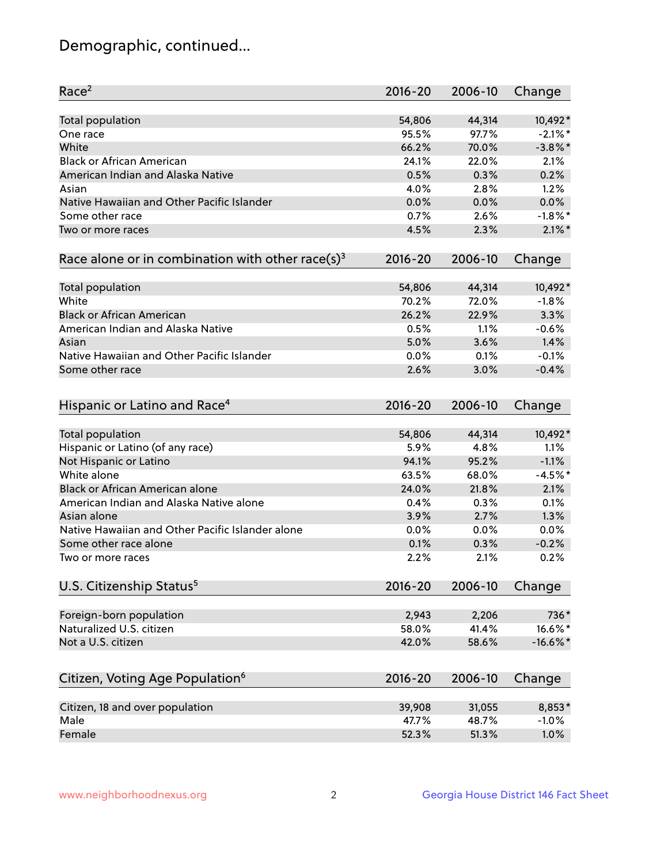## Demographic, continued...

| Race <sup>2</sup>                                            | $2016 - 20$ | 2006-10 | Change     |
|--------------------------------------------------------------|-------------|---------|------------|
| <b>Total population</b>                                      | 54,806      | 44,314  | 10,492*    |
| One race                                                     | 95.5%       | 97.7%   | $-2.1\%$ * |
| White                                                        | 66.2%       | 70.0%   | $-3.8\%$ * |
| <b>Black or African American</b>                             | 24.1%       | 22.0%   | 2.1%       |
| American Indian and Alaska Native                            | 0.5%        | 0.3%    | 0.2%       |
| Asian                                                        | 4.0%        | 2.8%    | 1.2%       |
| Native Hawaiian and Other Pacific Islander                   | 0.0%        | 0.0%    | 0.0%       |
| Some other race                                              | 0.7%        | 2.6%    | $-1.8\%$ * |
| Two or more races                                            | 4.5%        | 2.3%    | $2.1\%$ *  |
| Race alone or in combination with other race(s) <sup>3</sup> | $2016 - 20$ | 2006-10 | Change     |
| Total population                                             | 54,806      | 44,314  | 10,492*    |
| White                                                        | 70.2%       | 72.0%   | $-1.8%$    |
| <b>Black or African American</b>                             | 26.2%       | 22.9%   | 3.3%       |
| American Indian and Alaska Native                            | 0.5%        | 1.1%    | $-0.6%$    |
| Asian                                                        | 5.0%        | 3.6%    | 1.4%       |
| Native Hawaiian and Other Pacific Islander                   | 0.0%        | 0.1%    | $-0.1%$    |
| Some other race                                              | 2.6%        | 3.0%    | $-0.4%$    |
| Hispanic or Latino and Race <sup>4</sup>                     | $2016 - 20$ | 2006-10 | Change     |
| <b>Total population</b>                                      | 54,806      | 44,314  | 10,492*    |
| Hispanic or Latino (of any race)                             | 5.9%        | 4.8%    | 1.1%       |
| Not Hispanic or Latino                                       | 94.1%       | 95.2%   | $-1.1%$    |
| White alone                                                  | 63.5%       | 68.0%   | $-4.5%$ *  |
| <b>Black or African American alone</b>                       | 24.0%       | 21.8%   | 2.1%       |
| American Indian and Alaska Native alone                      | 0.4%        | 0.3%    | 0.1%       |
| Asian alone                                                  | 3.9%        | 2.7%    | 1.3%       |
| Native Hawaiian and Other Pacific Islander alone             | 0.0%        | 0.0%    | 0.0%       |
| Some other race alone                                        | 0.1%        | 0.3%    | $-0.2%$    |
| Two or more races                                            | 2.2%        | 2.1%    | 0.2%       |
| U.S. Citizenship Status <sup>5</sup>                         | $2016 - 20$ | 2006-10 | Change     |
| Foreign-born population                                      | 2,943       | 2,206   | 736*       |
| Naturalized U.S. citizen                                     | 58.0%       | 41.4%   | 16.6%*     |
| Not a U.S. citizen                                           | 42.0%       | 58.6%   | $-16.6%$ * |
|                                                              |             |         |            |
| Citizen, Voting Age Population <sup>6</sup>                  | 2016-20     | 2006-10 | Change     |
| Citizen, 18 and over population                              | 39,908      | 31,055  | 8,853*     |
| Male                                                         | 47.7%       | 48.7%   | $-1.0%$    |
| Female                                                       | 52.3%       | 51.3%   | 1.0%       |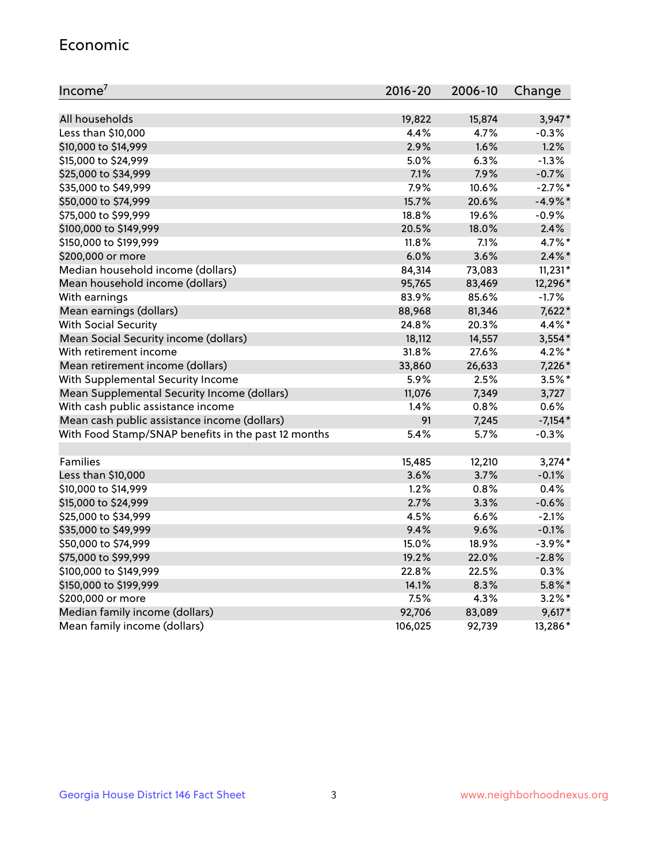#### Economic

| Income <sup>7</sup>                                 | 2016-20 | 2006-10 | Change     |
|-----------------------------------------------------|---------|---------|------------|
|                                                     |         |         |            |
| All households                                      | 19,822  | 15,874  | 3,947*     |
| Less than \$10,000                                  | 4.4%    | 4.7%    | $-0.3%$    |
| \$10,000 to \$14,999                                | 2.9%    | 1.6%    | 1.2%       |
| \$15,000 to \$24,999                                | 5.0%    | 6.3%    | $-1.3%$    |
| \$25,000 to \$34,999                                | 7.1%    | 7.9%    | $-0.7%$    |
| \$35,000 to \$49,999                                | 7.9%    | 10.6%   | $-2.7%$ *  |
| \$50,000 to \$74,999                                | 15.7%   | 20.6%   | $-4.9%$ *  |
| \$75,000 to \$99,999                                | 18.8%   | 19.6%   | $-0.9%$    |
| \$100,000 to \$149,999                              | 20.5%   | 18.0%   | 2.4%       |
| \$150,000 to \$199,999                              | 11.8%   | 7.1%    | 4.7%*      |
| \$200,000 or more                                   | 6.0%    | 3.6%    | $2.4\%$ *  |
| Median household income (dollars)                   | 84,314  | 73,083  | $11,231*$  |
| Mean household income (dollars)                     | 95,765  | 83,469  | 12,296*    |
| With earnings                                       | 83.9%   | 85.6%   | $-1.7%$    |
| Mean earnings (dollars)                             | 88,968  | 81,346  | 7,622*     |
| <b>With Social Security</b>                         | 24.8%   | 20.3%   | 4.4%*      |
| Mean Social Security income (dollars)               | 18,112  | 14,557  | $3,554*$   |
| With retirement income                              | 31.8%   | 27.6%   | $4.2\%$ *  |
| Mean retirement income (dollars)                    | 33,860  | 26,633  | 7,226*     |
| With Supplemental Security Income                   | 5.9%    | 2.5%    | $3.5\%$ *  |
| Mean Supplemental Security Income (dollars)         | 11,076  | 7,349   | 3,727      |
| With cash public assistance income                  | 1.4%    | 0.8%    | 0.6%       |
| Mean cash public assistance income (dollars)        | 91      | 7,245   | $-7,154*$  |
| With Food Stamp/SNAP benefits in the past 12 months | 5.4%    | 5.7%    | $-0.3%$    |
|                                                     |         |         |            |
| Families                                            | 15,485  | 12,210  | $3,274*$   |
| Less than \$10,000                                  | 3.6%    | 3.7%    | $-0.1%$    |
| \$10,000 to \$14,999                                | 1.2%    | 0.8%    | 0.4%       |
| \$15,000 to \$24,999                                | 2.7%    | 3.3%    | $-0.6%$    |
| \$25,000 to \$34,999                                | 4.5%    | 6.6%    | $-2.1%$    |
| \$35,000 to \$49,999                                | 9.4%    | 9.6%    | $-0.1%$    |
| \$50,000 to \$74,999                                | 15.0%   | 18.9%   | $-3.9\%$ * |
| \$75,000 to \$99,999                                | 19.2%   | 22.0%   | $-2.8%$    |
| \$100,000 to \$149,999                              | 22.8%   | 22.5%   | 0.3%       |
| \$150,000 to \$199,999                              | 14.1%   | 8.3%    | $5.8\%$ *  |
| \$200,000 or more                                   | 7.5%    | 4.3%    | $3.2\%$ *  |
| Median family income (dollars)                      | 92,706  | 83,089  | $9,617*$   |
| Mean family income (dollars)                        | 106,025 | 92,739  | 13,286*    |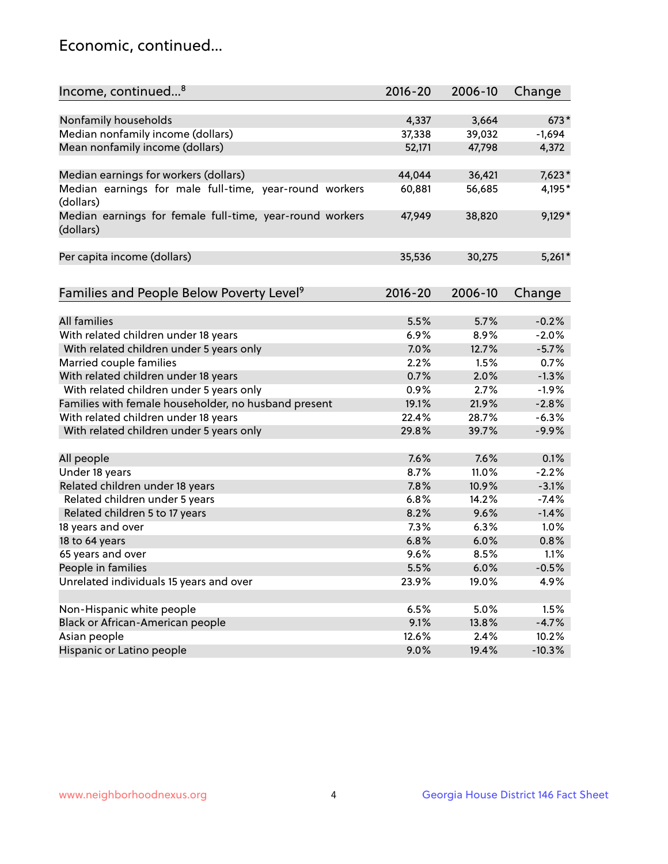## Economic, continued...

| Income, continued <sup>8</sup>                                        | $2016 - 20$ | 2006-10 | Change   |
|-----------------------------------------------------------------------|-------------|---------|----------|
|                                                                       |             |         |          |
| Nonfamily households                                                  | 4,337       | 3,664   | $673*$   |
| Median nonfamily income (dollars)                                     | 37,338      | 39,032  | $-1,694$ |
| Mean nonfamily income (dollars)                                       | 52,171      | 47,798  | 4,372    |
| Median earnings for workers (dollars)                                 | 44,044      | 36,421  | $7,623*$ |
| Median earnings for male full-time, year-round workers                | 60,881      | 56,685  | 4,195*   |
| (dollars)                                                             |             |         |          |
| Median earnings for female full-time, year-round workers<br>(dollars) | 47,949      | 38,820  | $9,129*$ |
| Per capita income (dollars)                                           | 35,536      | 30,275  | $5,261*$ |
|                                                                       |             |         |          |
| Families and People Below Poverty Level <sup>9</sup>                  | 2016-20     | 2006-10 | Change   |
|                                                                       |             |         |          |
| <b>All families</b>                                                   | 5.5%        | 5.7%    | $-0.2%$  |
| With related children under 18 years                                  | 6.9%        | 8.9%    | $-2.0%$  |
| With related children under 5 years only                              | 7.0%        | 12.7%   | $-5.7%$  |
| Married couple families                                               | 2.2%        | 1.5%    | 0.7%     |
| With related children under 18 years                                  | 0.7%        | 2.0%    | $-1.3%$  |
| With related children under 5 years only                              | 0.9%        | 2.7%    | $-1.9%$  |
| Families with female householder, no husband present                  | 19.1%       | 21.9%   | $-2.8%$  |
| With related children under 18 years                                  | 22.4%       | 28.7%   | $-6.3%$  |
| With related children under 5 years only                              | 29.8%       | 39.7%   | $-9.9%$  |
|                                                                       |             |         |          |
| All people                                                            | 7.6%        | 7.6%    | 0.1%     |
| Under 18 years                                                        | 8.7%        | 11.0%   | $-2.2%$  |
| Related children under 18 years                                       | 7.8%        | 10.9%   | $-3.1%$  |
| Related children under 5 years                                        | 6.8%        | 14.2%   | $-7.4%$  |
| Related children 5 to 17 years                                        | 8.2%        | 9.6%    | $-1.4%$  |
| 18 years and over                                                     | 7.3%        | 6.3%    | 1.0%     |
| 18 to 64 years                                                        | 6.8%        | 6.0%    | 0.8%     |
| 65 years and over                                                     | 9.6%        | 8.5%    | 1.1%     |
| People in families                                                    | 5.5%        | 6.0%    | $-0.5%$  |
| Unrelated individuals 15 years and over                               | 23.9%       | 19.0%   | 4.9%     |
|                                                                       |             |         |          |
| Non-Hispanic white people                                             | 6.5%        | 5.0%    | 1.5%     |
| Black or African-American people                                      | 9.1%        | 13.8%   | $-4.7%$  |
| Asian people                                                          | 12.6%       | 2.4%    | 10.2%    |
| Hispanic or Latino people                                             | 9.0%        | 19.4%   | $-10.3%$ |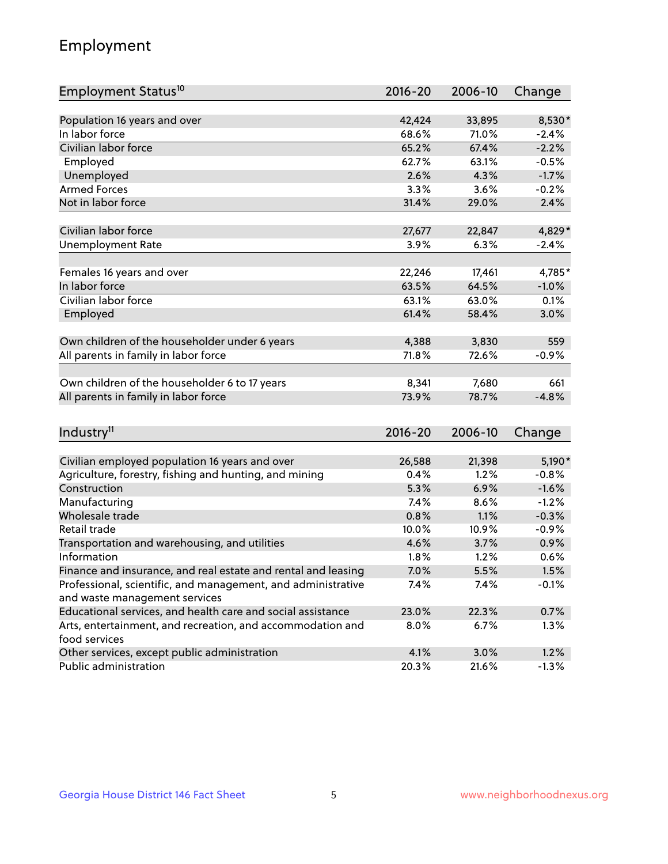## Employment

| Employment Status <sup>10</sup>                               | $2016 - 20$ | 2006-10 | Change  |
|---------------------------------------------------------------|-------------|---------|---------|
|                                                               |             |         |         |
| Population 16 years and over                                  | 42,424      | 33,895  | 8,530*  |
| In labor force                                                | 68.6%       | 71.0%   | $-2.4%$ |
| Civilian labor force                                          | 65.2%       | 67.4%   | $-2.2%$ |
| Employed                                                      | 62.7%       | 63.1%   | $-0.5%$ |
| Unemployed                                                    | 2.6%        | 4.3%    | $-1.7%$ |
| <b>Armed Forces</b>                                           | 3.3%        | 3.6%    | $-0.2%$ |
| Not in labor force                                            | 31.4%       | 29.0%   | 2.4%    |
|                                                               |             |         |         |
| Civilian labor force                                          | 27,677      | 22,847  | 4,829*  |
| <b>Unemployment Rate</b>                                      | 3.9%        | 6.3%    | $-2.4%$ |
| Females 16 years and over                                     | 22,246      | 17,461  | 4,785*  |
| In labor force                                                | 63.5%       | 64.5%   | $-1.0%$ |
| Civilian labor force                                          | 63.1%       | 63.0%   | 0.1%    |
| Employed                                                      | 61.4%       | 58.4%   | 3.0%    |
|                                                               |             |         |         |
| Own children of the householder under 6 years                 | 4,388       | 3,830   | 559     |
| All parents in family in labor force                          | 71.8%       | 72.6%   | $-0.9%$ |
| Own children of the householder 6 to 17 years                 | 8,341       | 7,680   | 661     |
| All parents in family in labor force                          | 73.9%       | 78.7%   | $-4.8%$ |
|                                                               |             |         |         |
| Industry <sup>11</sup>                                        | $2016 - 20$ | 2006-10 |         |
|                                                               |             |         | Change  |
| Civilian employed population 16 years and over                | 26,588      | 21,398  | 5,190*  |
| Agriculture, forestry, fishing and hunting, and mining        | 0.4%        | 1.2%    | $-0.8%$ |
| Construction                                                  | 5.3%        | 6.9%    | $-1.6%$ |
| Manufacturing                                                 | 7.4%        | 8.6%    | $-1.2%$ |
| Wholesale trade                                               | 0.8%        | 1.1%    | $-0.3%$ |
| Retail trade                                                  | 10.0%       | 10.9%   | $-0.9%$ |
| Transportation and warehousing, and utilities                 | 4.6%        | 3.7%    | 0.9%    |
| Information                                                   | 1.8%        | 1.2%    | 0.6%    |
| Finance and insurance, and real estate and rental and leasing | 7.0%        | 5.5%    | 1.5%    |
| Professional, scientific, and management, and administrative  | 7.4%        | 7.4%    | $-0.1%$ |
| and waste management services                                 |             |         |         |
| Educational services, and health care and social assistance   | 23.0%       | 22.3%   | 0.7%    |
| Arts, entertainment, and recreation, and accommodation and    | 8.0%        | 6.7%    | 1.3%    |
| food services                                                 |             |         |         |
| Other services, except public administration                  | 4.1%        | 3.0%    | 1.2%    |
| Public administration                                         | 20.3%       | 21.6%   | $-1.3%$ |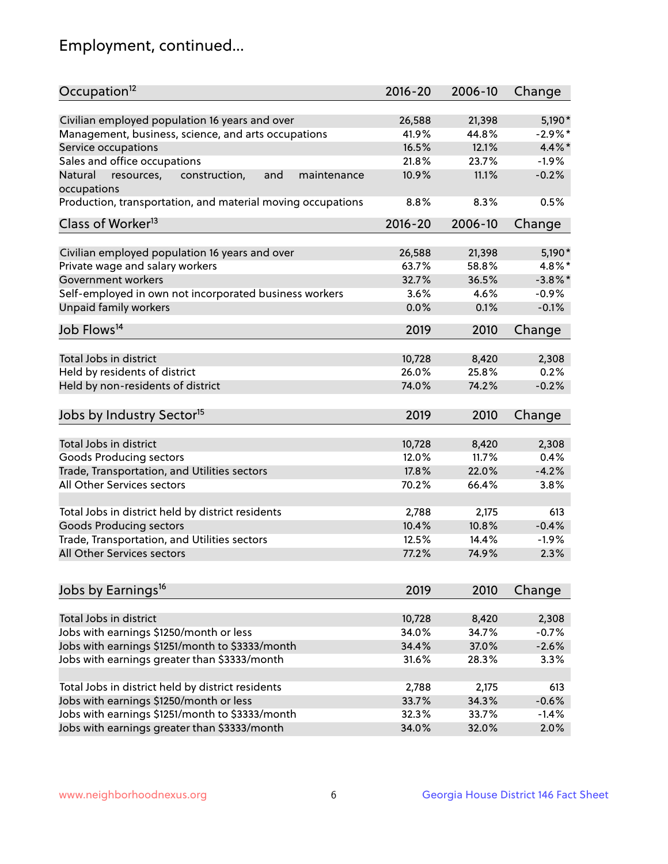## Employment, continued...

| Occupation <sup>12</sup>                                     | $2016 - 20$ | 2006-10 | Change     |
|--------------------------------------------------------------|-------------|---------|------------|
| Civilian employed population 16 years and over               | 26,588      | 21,398  | 5,190*     |
| Management, business, science, and arts occupations          | 41.9%       | 44.8%   | $-2.9%$ *  |
| Service occupations                                          | 16.5%       | 12.1%   | 4.4%*      |
| Sales and office occupations                                 | 21.8%       | 23.7%   | $-1.9%$    |
| Natural<br>and<br>resources,<br>construction,<br>maintenance | 10.9%       | 11.1%   | $-0.2%$    |
| occupations                                                  |             |         |            |
| Production, transportation, and material moving occupations  | 8.8%        | 8.3%    | 0.5%       |
| Class of Worker <sup>13</sup>                                | $2016 - 20$ | 2006-10 | Change     |
| Civilian employed population 16 years and over               | 26,588      | 21,398  | 5,190*     |
| Private wage and salary workers                              | 63.7%       | 58.8%   | 4.8%*      |
| Government workers                                           | 32.7%       | 36.5%   | $-3.8\%$ * |
| Self-employed in own not incorporated business workers       | 3.6%        | 4.6%    | $-0.9%$    |
| Unpaid family workers                                        | 0.0%        | 0.1%    | $-0.1%$    |
| Job Flows <sup>14</sup>                                      | 2019        | 2010    | Change     |
|                                                              |             |         |            |
| Total Jobs in district                                       | 10,728      | 8,420   | 2,308      |
| Held by residents of district                                | 26.0%       | 25.8%   | 0.2%       |
| Held by non-residents of district                            | 74.0%       | 74.2%   | $-0.2%$    |
| Jobs by Industry Sector <sup>15</sup>                        | 2019        | 2010    | Change     |
| Total Jobs in district                                       | 10,728      | 8,420   | 2,308      |
| Goods Producing sectors                                      | 12.0%       | 11.7%   | 0.4%       |
| Trade, Transportation, and Utilities sectors                 | 17.8%       | 22.0%   | $-4.2%$    |
| All Other Services sectors                                   | 70.2%       | 66.4%   | 3.8%       |
|                                                              |             |         |            |
| Total Jobs in district held by district residents            | 2,788       | 2,175   | 613        |
| <b>Goods Producing sectors</b>                               | 10.4%       | 10.8%   | $-0.4%$    |
| Trade, Transportation, and Utilities sectors                 | 12.5%       | 14.4%   | $-1.9%$    |
| All Other Services sectors                                   | 77.2%       | 74.9%   | 2.3%       |
|                                                              |             |         |            |
| Jobs by Earnings <sup>16</sup>                               | 2019        | 2010    | Change     |
| Total Jobs in district                                       | 10,728      | 8,420   | 2,308      |
| Jobs with earnings \$1250/month or less                      | 34.0%       | 34.7%   | $-0.7%$    |
| Jobs with earnings \$1251/month to \$3333/month              | 34.4%       | 37.0%   | $-2.6%$    |
| Jobs with earnings greater than \$3333/month                 | 31.6%       | 28.3%   | 3.3%       |
|                                                              |             |         |            |
| Total Jobs in district held by district residents            | 2,788       | 2,175   | 613        |
| Jobs with earnings \$1250/month or less                      | 33.7%       | 34.3%   | $-0.6%$    |
| Jobs with earnings \$1251/month to \$3333/month              | 32.3%       | 33.7%   | $-1.4%$    |
| Jobs with earnings greater than \$3333/month                 | 34.0%       | 32.0%   | 2.0%       |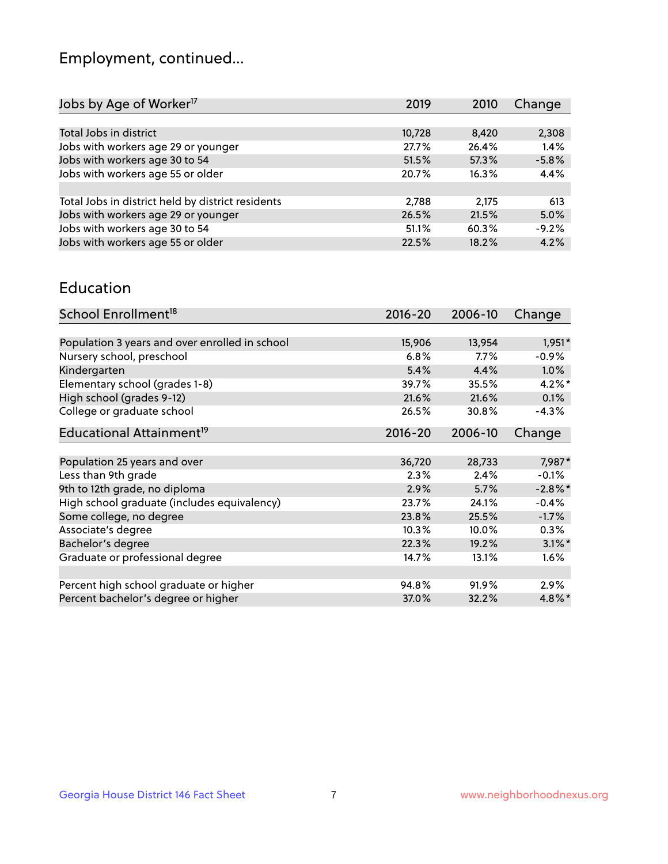## Employment, continued...

| Jobs by Age of Worker <sup>17</sup>               | 2019   | 2010  | Change  |
|---------------------------------------------------|--------|-------|---------|
|                                                   |        |       |         |
| Total Jobs in district                            | 10,728 | 8,420 | 2,308   |
| Jobs with workers age 29 or younger               | 27.7%  | 26.4% | 1.4%    |
| Jobs with workers age 30 to 54                    | 51.5%  | 57.3% | $-5.8%$ |
| Jobs with workers age 55 or older                 | 20.7%  | 16.3% | 4.4%    |
|                                                   |        |       |         |
| Total Jobs in district held by district residents | 2,788  | 2,175 | 613     |
| Jobs with workers age 29 or younger               | 26.5%  | 21.5% | 5.0%    |
| Jobs with workers age 30 to 54                    | 51.1%  | 60.3% | $-9.2%$ |
| Jobs with workers age 55 or older                 | 22.5%  | 18.2% | 4.2%    |

#### Education

| School Enrollment <sup>18</sup>                | $2016 - 20$ | 2006-10 | Change     |
|------------------------------------------------|-------------|---------|------------|
|                                                |             |         |            |
| Population 3 years and over enrolled in school | 15,906      | 13,954  | $1,951*$   |
| Nursery school, preschool                      | 6.8%        | $7.7\%$ | $-0.9%$    |
| Kindergarten                                   | 5.4%        | 4.4%    | 1.0%       |
| Elementary school (grades 1-8)                 | 39.7%       | 35.5%   | $4.2\%$ *  |
| High school (grades 9-12)                      | 21.6%       | 21.6%   | 0.1%       |
| College or graduate school                     | 26.5%       | 30.8%   | $-4.3%$    |
| Educational Attainment <sup>19</sup>           | $2016 - 20$ | 2006-10 | Change     |
|                                                |             |         |            |
| Population 25 years and over                   | 36,720      | 28,733  | 7,987*     |
| Less than 9th grade                            | 2.3%        | 2.4%    | $-0.1%$    |
| 9th to 12th grade, no diploma                  | 2.9%        | 5.7%    | $-2.8\%$ * |
| High school graduate (includes equivalency)    | 23.7%       | 24.1%   | $-0.4%$    |
| Some college, no degree                        | 23.8%       | 25.5%   | $-1.7%$    |
| Associate's degree                             | 10.3%       | 10.0%   | 0.3%       |
| Bachelor's degree                              | 22.3%       | 19.2%   | $3.1\%$ *  |
| Graduate or professional degree                | 14.7%       | 13.1%   | $1.6\%$    |
|                                                |             |         |            |
| Percent high school graduate or higher         | 94.8%       | 91.9%   | $2.9\%$    |
| Percent bachelor's degree or higher            | 37.0%       | 32.2%   | $4.8\%$ *  |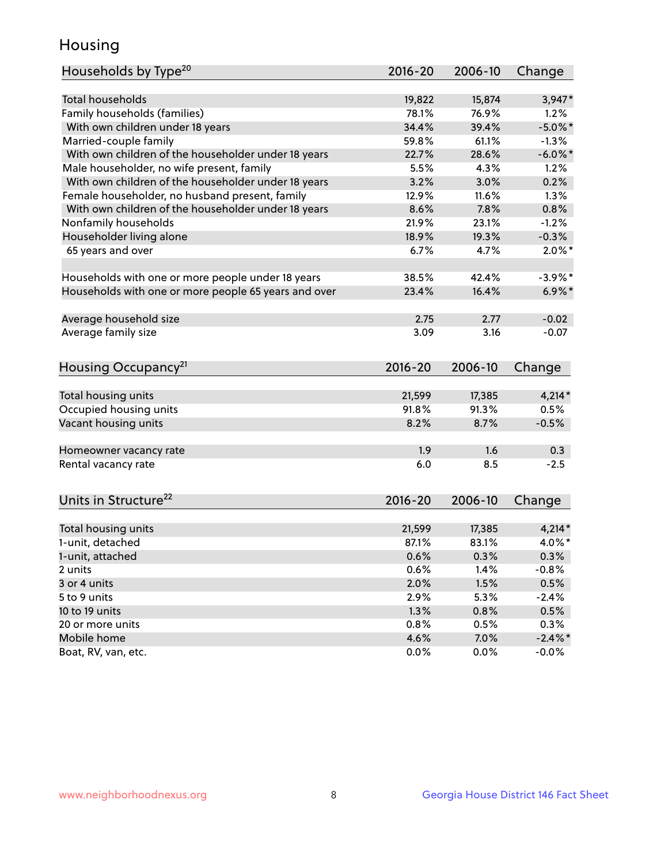## Housing

| Households by Type <sup>20</sup>                     | 2016-20     | 2006-10 | Change     |
|------------------------------------------------------|-------------|---------|------------|
|                                                      |             |         |            |
| <b>Total households</b>                              | 19,822      | 15,874  | $3,947*$   |
| Family households (families)                         | 78.1%       | 76.9%   | 1.2%       |
| With own children under 18 years                     | 34.4%       | 39.4%   | $-5.0\%$ * |
| Married-couple family                                | 59.8%       | 61.1%   | $-1.3%$    |
| With own children of the householder under 18 years  | 22.7%       | 28.6%   | $-6.0\%$ * |
| Male householder, no wife present, family            | 5.5%        | 4.3%    | 1.2%       |
| With own children of the householder under 18 years  | 3.2%        | 3.0%    | 0.2%       |
| Female householder, no husband present, family       | 12.9%       | 11.6%   | 1.3%       |
| With own children of the householder under 18 years  | 8.6%        | 7.8%    | 0.8%       |
| Nonfamily households                                 | 21.9%       | 23.1%   | $-1.2%$    |
| Householder living alone                             | 18.9%       | 19.3%   | $-0.3%$    |
| 65 years and over                                    | 6.7%        | 4.7%    | $2.0\%$ *  |
| Households with one or more people under 18 years    | 38.5%       | 42.4%   | $-3.9\%$ * |
| Households with one or more people 65 years and over | 23.4%       | 16.4%   | $6.9\%$ *  |
|                                                      |             |         |            |
| Average household size                               | 2.75        | 2.77    | $-0.02$    |
| Average family size                                  | 3.09        | 3.16    | $-0.07$    |
| Housing Occupancy <sup>21</sup>                      | $2016 - 20$ | 2006-10 | Change     |
| Total housing units                                  | 21,599      | 17,385  | $4,214*$   |
| Occupied housing units                               | 91.8%       | 91.3%   | 0.5%       |
| Vacant housing units                                 | 8.2%        | 8.7%    | $-0.5%$    |
|                                                      |             |         |            |
| Homeowner vacancy rate                               | 1.9         | 1.6     | 0.3        |
| Rental vacancy rate                                  | 6.0         | 8.5     | $-2.5$     |
| Units in Structure <sup>22</sup>                     | $2016 - 20$ | 2006-10 | Change     |
|                                                      |             |         |            |
| Total housing units                                  | 21,599      | 17,385  | $4,214*$   |
| 1-unit, detached                                     | 87.1%       | 83.1%   | 4.0%*      |
| 1-unit, attached                                     | 0.6%        | 0.3%    | 0.3%       |
| 2 units                                              | 0.6%        | 1.4%    | $-0.8%$    |
| 3 or 4 units                                         | 2.0%        | 1.5%    | 0.5%       |
| 5 to 9 units                                         | 2.9%        | 5.3%    | $-2.4%$    |
| 10 to 19 units                                       | 1.3%        | 0.8%    | 0.5%       |
| 20 or more units                                     | 0.8%        | 0.5%    | 0.3%       |
| Mobile home                                          | 4.6%        | 7.0%    | $-2.4\%$ * |
| Boat, RV, van, etc.                                  | 0.0%        | $0.0\%$ | $-0.0\%$   |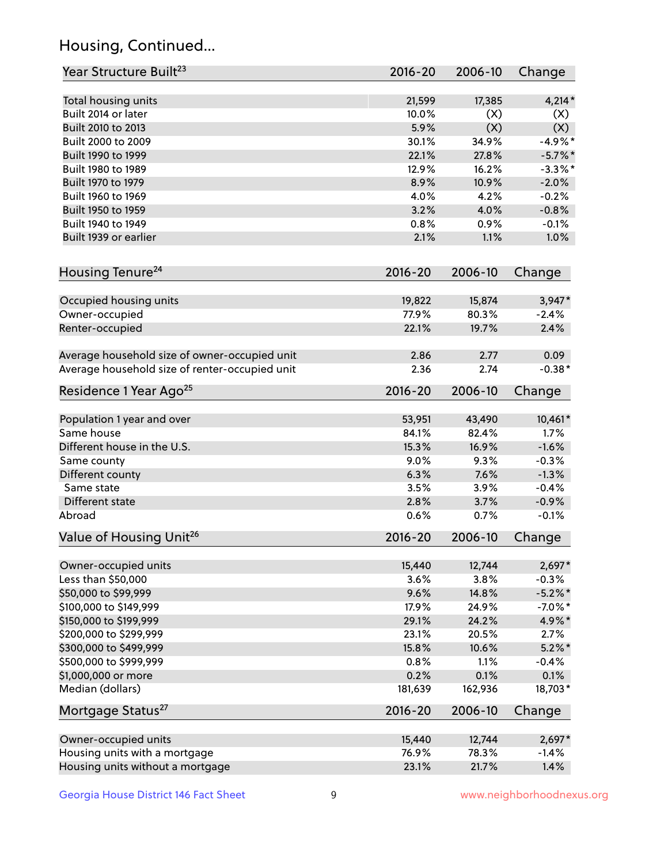## Housing, Continued...

| Year Structure Built <sup>23</sup>               | 2016-20         | 2006-10         | Change              |
|--------------------------------------------------|-----------------|-----------------|---------------------|
| Total housing units                              | 21,599          | 17,385          | $4,214*$            |
| Built 2014 or later                              | 10.0%           | (X)             | (X)                 |
| Built 2010 to 2013                               | 5.9%            | (X)             | (X)                 |
| Built 2000 to 2009                               | 30.1%           | 34.9%           | $-4.9\%$ *          |
| Built 1990 to 1999                               | 22.1%           | 27.8%           | $-5.7\%$ *          |
| Built 1980 to 1989                               | 12.9%           | 16.2%           | $-3.3\%$ *          |
| Built 1970 to 1979                               | 8.9%            | 10.9%           | $-2.0%$             |
| Built 1960 to 1969                               | 4.0%            | 4.2%            | $-0.2%$             |
| Built 1950 to 1959                               | 3.2%            | 4.0%            | $-0.8%$             |
| Built 1940 to 1949                               | 0.8%            | 0.9%            | $-0.1%$             |
| Built 1939 or earlier                            | 2.1%            | 1.1%            | 1.0%                |
| Housing Tenure <sup>24</sup>                     | $2016 - 20$     | 2006-10         | Change              |
|                                                  |                 |                 |                     |
| Occupied housing units<br>Owner-occupied         | 19,822<br>77.9% | 15,874<br>80.3% | $3,947*$<br>$-2.4%$ |
| Renter-occupied                                  | 22.1%           | 19.7%           | 2.4%                |
|                                                  |                 |                 |                     |
| Average household size of owner-occupied unit    | 2.86            | 2.77            | 0.09                |
| Average household size of renter-occupied unit   | 2.36            | 2.74            | $-0.38*$            |
| Residence 1 Year Ago <sup>25</sup>               | $2016 - 20$     | 2006-10         | Change              |
| Population 1 year and over                       | 53,951          | 43,490          | 10,461*             |
| Same house                                       | 84.1%           | 82.4%           | 1.7%                |
| Different house in the U.S.                      | 15.3%           | 16.9%           | $-1.6%$             |
| Same county                                      | 9.0%            | 9.3%            | $-0.3%$             |
| Different county                                 | 6.3%            | 7.6%            | $-1.3%$             |
| Same state                                       | 3.5%            | 3.9%            | $-0.4%$             |
| Different state                                  | 2.8%            | 3.7%            | $-0.9%$             |
| Abroad                                           | 0.6%            | 0.7%            | $-0.1%$             |
| Value of Housing Unit <sup>26</sup>              | $2016 - 20$     | 2006-10         | Change              |
|                                                  |                 |                 |                     |
| Owner-occupied units                             | 15,440          | 12,744          | $2,697*$            |
| Less than \$50,000                               | 3.6%            | 3.8%            | $-0.3%$             |
| \$50,000 to \$99,999                             | 9.6%            | 14.8%           | $-5.2\%$ *          |
| \$100,000 to \$149,999                           | 17.9%<br>29.1%  | 24.9%           | $-7.0\%$ *          |
| \$150,000 to \$199,999<br>\$200,000 to \$299,999 | 23.1%           | 24.2%<br>20.5%  | 4.9%*<br>2.7%       |
| \$300,000 to \$499,999                           | 15.8%           | 10.6%           | $5.2\%$ *           |
| \$500,000 to \$999,999                           | 0.8%            | 1.1%            | $-0.4%$             |
| \$1,000,000 or more                              | 0.2%            | 0.1%            | 0.1%                |
| Median (dollars)                                 | 181,639         | 162,936         | 18,703*             |
| Mortgage Status <sup>27</sup>                    | $2016 - 20$     | 2006-10         | Change              |
|                                                  |                 |                 |                     |
| Owner-occupied units                             | 15,440          | 12,744          | $2,697*$            |
| Housing units with a mortgage                    | 76.9%           | 78.3%           | $-1.4%$             |
| Housing units without a mortgage                 | 23.1%           | 21.7%           | 1.4%                |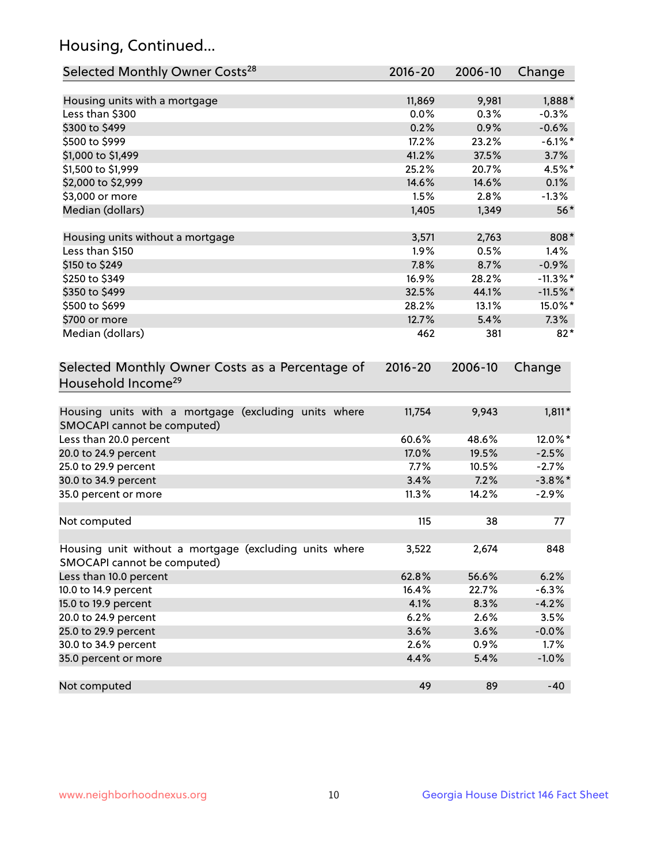## Housing, Continued...

| Selected Monthly Owner Costs <sup>28</sup>                                            | 2016-20 | 2006-10 | Change      |
|---------------------------------------------------------------------------------------|---------|---------|-------------|
| Housing units with a mortgage                                                         | 11,869  | 9,981   | 1,888*      |
| Less than \$300                                                                       | 0.0%    | 0.3%    | $-0.3%$     |
| \$300 to \$499                                                                        | 0.2%    | 0.9%    | $-0.6%$     |
| \$500 to \$999                                                                        | 17.2%   | 23.2%   | $-6.1\%$ *  |
| \$1,000 to \$1,499                                                                    | 41.2%   | 37.5%   | 3.7%        |
| \$1,500 to \$1,999                                                                    | 25.2%   | 20.7%   | 4.5%*       |
| \$2,000 to \$2,999                                                                    | 14.6%   | 14.6%   | 0.1%        |
| \$3,000 or more                                                                       | 1.5%    | 2.8%    | $-1.3%$     |
| Median (dollars)                                                                      | 1,405   | 1,349   | $56*$       |
| Housing units without a mortgage                                                      | 3,571   | 2,763   | 808*        |
| Less than \$150                                                                       | 1.9%    | 0.5%    | 1.4%        |
| \$150 to \$249                                                                        | 7.8%    | 8.7%    | $-0.9%$     |
| \$250 to \$349                                                                        | 16.9%   | 28.2%   | $-11.3\%$ * |
| \$350 to \$499                                                                        | 32.5%   | 44.1%   | $-11.5\%$ * |
| \$500 to \$699                                                                        | 28.2%   | 13.1%   | 15.0%*      |
| \$700 or more                                                                         | 12.7%   | 5.4%    | 7.3%        |
| Median (dollars)                                                                      | 462     | 381     | $82*$       |
| Selected Monthly Owner Costs as a Percentage of<br>Household Income <sup>29</sup>     |         |         | Change      |
| Housing units with a mortgage (excluding units where<br>SMOCAPI cannot be computed)   | 11,754  | 9,943   | $1,811*$    |
| Less than 20.0 percent                                                                | 60.6%   | 48.6%   | 12.0%*      |
| 20.0 to 24.9 percent                                                                  | 17.0%   | 19.5%   | $-2.5%$     |
| 25.0 to 29.9 percent                                                                  | 7.7%    | 10.5%   | $-2.7%$     |
| 30.0 to 34.9 percent                                                                  | 3.4%    | 7.2%    | $-3.8\%$ *  |
| 35.0 percent or more                                                                  | 11.3%   | 14.2%   | $-2.9%$     |
| Not computed                                                                          | 115     | 38      | 77          |
| Housing unit without a mortgage (excluding units where<br>SMOCAPI cannot be computed) | 3,522   | 2,674   | 848         |
| Less than 10.0 percent                                                                | 62.8%   | 56.6%   | 6.2%        |
| 10.0 to 14.9 percent                                                                  | 16.4%   | 22.7%   | $-6.3%$     |
| 15.0 to 19.9 percent                                                                  | 4.1%    | 8.3%    | $-4.2%$     |
| 20.0 to 24.9 percent                                                                  | 6.2%    | 2.6%    | 3.5%        |
| 25.0 to 29.9 percent                                                                  | 3.6%    | 3.6%    | $-0.0%$     |
| 30.0 to 34.9 percent                                                                  | 2.6%    | 0.9%    | 1.7%        |
| 35.0 percent or more                                                                  | 4.4%    | 5.4%    | $-1.0%$     |
| Not computed                                                                          | 49      | 89      | $-40$       |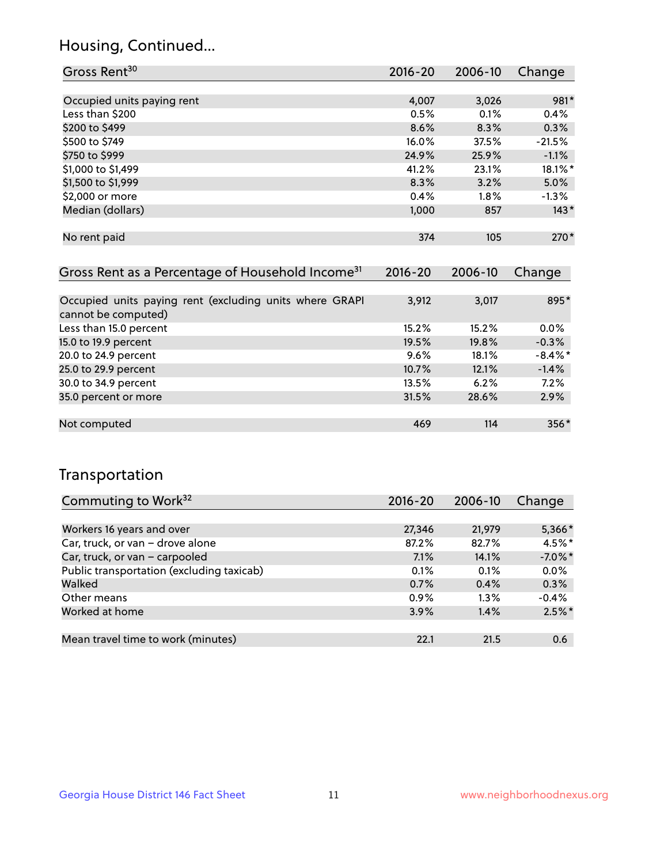## Housing, Continued...

| Gross Rent <sup>30</sup>   | 2016-20 | 2006-10 | Change   |
|----------------------------|---------|---------|----------|
|                            |         |         |          |
| Occupied units paying rent | 4,007   | 3,026   | 981*     |
| Less than \$200            | 0.5%    | 0.1%    | 0.4%     |
| \$200 to \$499             | 8.6%    | 8.3%    | 0.3%     |
| \$500 to \$749             | 16.0%   | 37.5%   | $-21.5%$ |
| \$750 to \$999             | 24.9%   | 25.9%   | $-1.1%$  |
| \$1,000 to \$1,499         | 41.2%   | 23.1%   | 18.1%*   |
| \$1,500 to \$1,999         | 8.3%    | 3.2%    | 5.0%     |
| \$2,000 or more            | 0.4%    | 1.8%    | $-1.3%$  |
| Median (dollars)           | 1,000   | 857     | $143*$   |
|                            |         |         |          |
| No rent paid               | 374     | 105     | $270*$   |
|                            |         |         |          |

| Gross Rent as a Percentage of Household Income <sup>31</sup>                   | $2016 - 20$ | 2006-10 | Change     |
|--------------------------------------------------------------------------------|-------------|---------|------------|
|                                                                                |             |         |            |
| Occupied units paying rent (excluding units where GRAPI<br>cannot be computed) | 3,912       | 3,017   | 895*       |
| Less than 15.0 percent                                                         | 15.2%       | 15.2%   | 0.0%       |
| 15.0 to 19.9 percent                                                           | 19.5%       | 19.8%   | $-0.3%$    |
| 20.0 to 24.9 percent                                                           | 9.6%        | 18.1%   | $-8.4\%$ * |
| 25.0 to 29.9 percent                                                           | 10.7%       | 12.1%   | $-1.4%$    |
| 30.0 to 34.9 percent                                                           | 13.5%       | 6.2%    | 7.2%       |
| 35.0 percent or more                                                           | 31.5%       | 28.6%   | 2.9%       |
|                                                                                |             |         |            |
| Not computed                                                                   | 469         | 114     | 356*       |

## Transportation

| Commuting to Work <sup>32</sup>           | 2016-20 | 2006-10 | Change     |
|-------------------------------------------|---------|---------|------------|
|                                           |         |         |            |
| Workers 16 years and over                 | 27,346  | 21,979  | 5,366*     |
| Car, truck, or van - drove alone          | 87.2%   | 82.7%   | 4.5%*      |
| Car, truck, or van - carpooled            | 7.1%    | 14.1%   | $-7.0\%$ * |
| Public transportation (excluding taxicab) | 0.1%    | 0.1%    | 0.0%       |
| Walked                                    | 0.7%    | 0.4%    | 0.3%       |
| Other means                               | 0.9%    | 1.3%    | $-0.4%$    |
| Worked at home                            | 3.9%    | 1.4%    | $2.5\%$ *  |
|                                           |         |         |            |
| Mean travel time to work (minutes)        | 22.1    | 21.5    | 0.6        |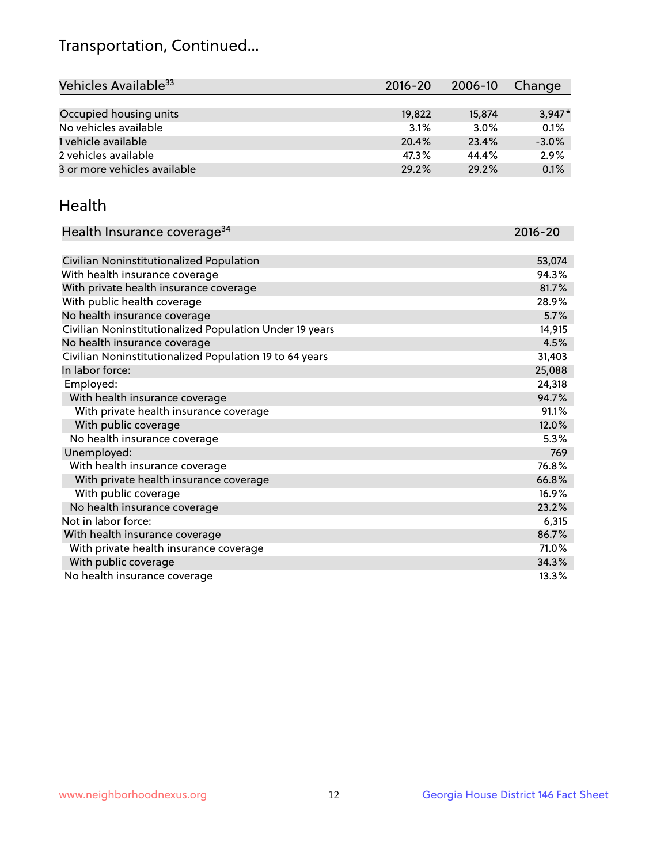## Transportation, Continued...

| Vehicles Available <sup>33</sup> | 2016-20 | 2006-10 | Change   |
|----------------------------------|---------|---------|----------|
|                                  |         |         |          |
| Occupied housing units           | 19,822  | 15,874  | $3,947*$ |
| No vehicles available            | 3.1%    | 3.0%    | 0.1%     |
| 1 vehicle available              | 20.4%   | 23.4%   | $-3.0%$  |
| 2 vehicles available             | 47.3%   | 44.4%   | 2.9%     |
| 3 or more vehicles available     | 29.2%   | 29.2%   | 0.1%     |

#### Health

| Health Insurance coverage <sup>34</sup>                 | 2016-20 |
|---------------------------------------------------------|---------|
|                                                         |         |
| Civilian Noninstitutionalized Population                | 53,074  |
| With health insurance coverage                          | 94.3%   |
| With private health insurance coverage                  | 81.7%   |
| With public health coverage                             | 28.9%   |
| No health insurance coverage                            | 5.7%    |
| Civilian Noninstitutionalized Population Under 19 years | 14,915  |
| No health insurance coverage                            | 4.5%    |
| Civilian Noninstitutionalized Population 19 to 64 years | 31,403  |
| In labor force:                                         | 25,088  |
| Employed:                                               | 24,318  |
| With health insurance coverage                          | 94.7%   |
| With private health insurance coverage                  | 91.1%   |
| With public coverage                                    | 12.0%   |
| No health insurance coverage                            | 5.3%    |
| Unemployed:                                             | 769     |
| With health insurance coverage                          | 76.8%   |
| With private health insurance coverage                  | 66.8%   |
| With public coverage                                    | 16.9%   |
| No health insurance coverage                            | 23.2%   |
| Not in labor force:                                     | 6,315   |
| With health insurance coverage                          | 86.7%   |
| With private health insurance coverage                  | 71.0%   |
| With public coverage                                    | 34.3%   |
| No health insurance coverage                            | 13.3%   |